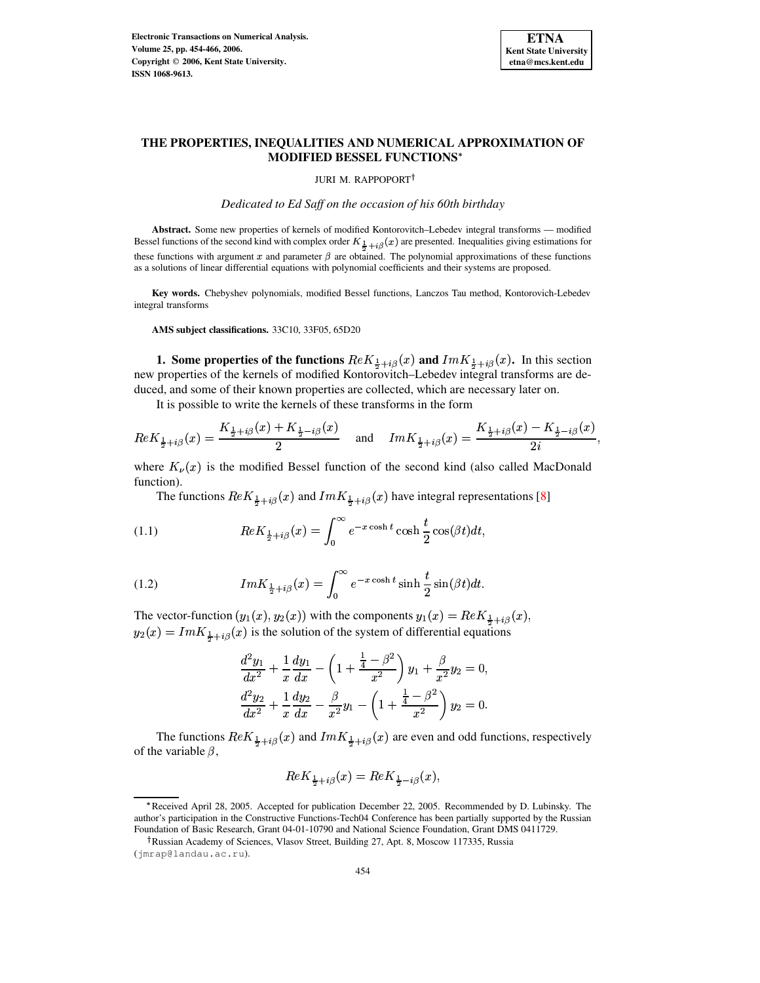

# THE PROPERTIES, INEQUALITIES AND NUMERICAL APPROXIMATION OF **MODIFIED BESSEL FUNCTIONS\***

JURI M. RAPPOPORT<sup>†</sup>

Dedicated to Ed Saff on the occasion of his 60th birthday

Abstract. Some new properties of kernels of modified Kontorovitch-Lebedev integral transforms - modified Bessel functions of the second kind with complex order  $K_{\frac{1}{2}+i\beta}(x)$  are presented. Inequalities giving estimations for these functions with argument  $x$  and parameter  $\beta$  are obtained. The polynomial approximations of these functions as a solutions of linear differential equations with polynomial coefficients and their systems are proposed.

Key words. Chebyshev polynomials, modified Bessel functions, Lanczos Tau method, Kontorovich-Lebedev integral transforms

AMS subject classifications. 33C10, 33F05, 65D20

**1.** Some properties of the functions  $Re K_{\frac{1}{2}+i\beta}(x)$  and  $Im K_{\frac{1}{2}+i\beta}(x)$ . In this section new properties of the kernels of modified Kontorovitch-Lebedev integral transforms are deduced, and some of their known properties are collected, which are necessary later on.

It is possible to write the kernels of these transforms in the form

$$
Re \hspace{0.5mm} K_{\frac{1}{2}+i\beta}(x) = \frac{K_{\frac{1}{2}+i\beta}(x)+K_{\frac{1}{2}-i\beta}(x)}{2} \hspace{0.5mm} \text{and} \hspace{0.5mm} Im \hspace{0.5mm} K_{\frac{1}{2}+i\beta}(x) = \frac{K_{\frac{1}{2}+i\beta}(x)-K_{\frac{1}{2}-i\beta}(x)}{2i}
$$

where  $K_{\nu}(x)$  is the modified Bessel function of the second kind (also called MacDonald function).

The functions  $ReK_{\frac{1}{2}+i\beta}(x)$  and  $ImK_{\frac{1}{2}+i\beta}(x)$  have integral representations [8]

(1.1) 
$$
Re K_{\frac{1}{2}+i\beta}(x) = \int_0^\infty e^{-x\cosh t} \cosh \frac{t}{2} \cos(\beta t) dt,
$$

<span id="page-0-1"></span>(1.2) 
$$
Im K_{\frac{1}{2}+i\beta}(x) = \int_0^\infty e^{-x \cosh t} \sinh \frac{t}{2} \sin(\beta t) dt.
$$

The vector-function  $(y_1(x), y_2(x))$  with the components  $y_1(x) = ReK_{\frac{1}{2}+i\beta}(x)$ ,  $y_2(x) = ImK_{\frac{1}{2}+i\beta}(x)$  is the solution of the system of differential equations

<span id="page-0-0"></span>
$$
\frac{d^2y_1}{dx^2} + \frac{1}{x}\frac{dy_1}{dx} - \left(1 + \frac{\frac{1}{4} - \beta^2}{x^2}\right)y_1 + \frac{\beta}{x^2}y_2 = 0,
$$
  

$$
\frac{d^2y_2}{dx^2} + \frac{1}{x}\frac{dy_2}{dx} - \frac{\beta}{x^2}y_1 - \left(1 + \frac{\frac{1}{4} - \beta^2}{x^2}\right)y_2 = 0.
$$

The functions  $Re K_{\frac{1}{2}+i\beta}(x)$  and  $Im K_{\frac{1}{2}+i\beta}(x)$  are even and odd functions, respectively of the variable  $\beta$ ,

$$
Re K_{\frac{1}{2}+i\beta}(x)=Re K_{\frac{1}{2}-i\beta}(x),
$$

Received April 28, 2005. Accepted for publication December 22, 2005. Recommended by D. Lubinsky. The author's participation in the Constructive Functions-Tech04 Conference has been partially supported by the Russian Foundation of Basic Research, Grant 04-01-10790 and National Science Foundation, Grant DMS 0411729.

<sup>&</sup>lt;sup>†</sup>Russian Academy of Sciences, Vlasov Street, Building 27, Apt. 8, Moscow 117335, Russia

<sup>(</sup>jmrap@landau.ac.ru).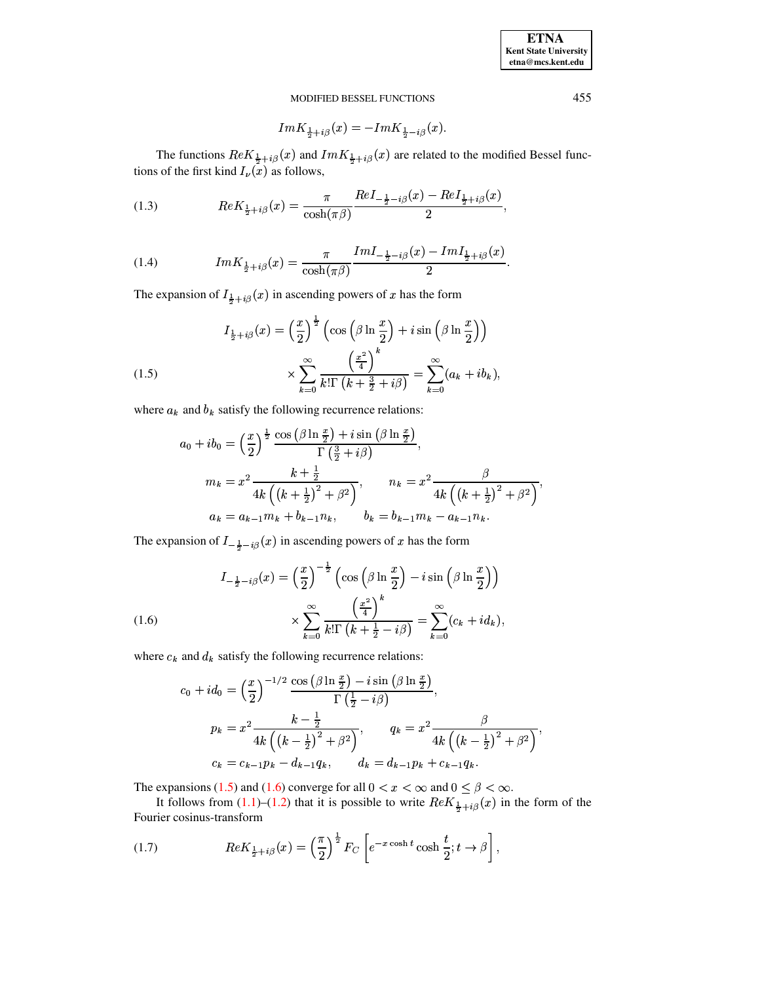**ETNA Kent State University etna@mcs.kent.edu**

# MODIFIED BESSEL FUNCTIONS 455

<span id="page-1-3"></span>
$$
Im K_{\frac{1}{2}+i\beta}(x)=-Im K_{\frac{1}{2}-i\beta}(x).
$$

The functions  $Re K_{\frac{1}{2}+i\beta}(x)$  and  $Im K_{\frac{1}{2}+i\beta}(x)$  are related to the modified Bessel functions of the first kind  $I_{\nu}(\mathbf{x})$  as follows,

(1.3) 
$$
Re K_{\frac{1}{2}+i\beta}(x) = \frac{\pi}{\cosh(\pi\beta)} \frac{Re I_{-\frac{1}{2}-i\beta}(x) - Re I_{\frac{1}{2}+i\beta}(x)}{2},
$$

(1.4) 
$$
Im K_{\frac{1}{2}+i\beta}(x) = \frac{\pi}{\cosh(\pi\beta)} \frac{Im I_{-\frac{1}{2}-i\beta}(x) - Im I_{\frac{1}{2}+i\beta}(x)}{2}.
$$

The expansion of  $I_{\frac{1}{2}+i\beta}(x)$  in ascending powers of x has the form

<span id="page-1-0"></span>(1.5)  

$$
I_{\frac{1}{2}+i\beta}(x) = \left(\frac{x}{2}\right)^{\frac{1}{2}} \left(\cos\left(\beta \ln \frac{x}{2}\right) + i \sin\left(\beta \ln \frac{x}{2}\right)\right)
$$

$$
\times \sum_{k=0}^{\infty} \frac{\left(\frac{x^2}{4}\right)^k}{k!\Gamma\left(k + \frac{3}{2} + i\beta\right)} = \sum_{k=0}^{\infty} (a_k + ib_k),
$$

where  $a_k$  and  $b_k$  satisfy the following recurrence relations:

$$
a_0 + ib_0 = \left(\frac{x}{2}\right)^{\frac{1}{2}} \frac{\cos \left(\beta \ln \frac{x}{2}\right) + i \sin \left(\beta \ln \frac{x}{2}\right)}{\Gamma\left(\frac{3}{2} + i\beta\right)},
$$
  
\n
$$
m_k = x^2 \frac{k + \frac{1}{2}}{4k \left(\left(k + \frac{1}{2}\right)^2 + \beta^2\right)}, \qquad n_k = x^2 \frac{\beta}{4k \left(\left(k + \frac{1}{2}\right)^2 + \beta^2\right)},
$$
  
\n
$$
a_k = a_{k-1} m_k + b_{k-1} n_k, \qquad b_k = b_{k-1} m_k - a_{k-1} n_k.
$$

The expansion of  $I_{-\frac{1}{2}-i\beta}(x)$  in ascending powers of x has the form

(1.6)  

$$
I_{-\frac{1}{2}-i\beta}(x) = \left(\frac{x}{2}\right)^{-\frac{1}{2}} \left(\cos\left(\beta \ln \frac{x}{2}\right) - i \sin\left(\beta \ln \frac{x}{2}\right)\right)
$$

$$
\times \sum_{k=0}^{\infty} \frac{\left(\frac{x^2}{4}\right)^k}{k!\Gamma\left(k+\frac{1}{2}-i\beta\right)} = \sum_{k=0}^{\infty} (c_k + id_k),
$$

<span id="page-1-1"></span>where  $c_k$  and  $d_k$  satisfy the following recurrence relations:

$$
c_{0} + id_{0} = \left(\frac{x}{2}\right)^{-1/2} \frac{\cos \left(\beta \ln \frac{x}{2}\right) - i \sin \left(\beta \ln \frac{x}{2}\right)}{\Gamma\left(\frac{1}{2} - i\beta\right)},
$$
  
\n
$$
p_{k} = x^{2} \frac{k - \frac{1}{2}}{4k \left(\left(k - \frac{1}{2}\right)^{2} + \beta^{2}\right)}, \qquad q_{k} = x^{2} \frac{\beta}{4k \left(\left(k - \frac{1}{2}\right)^{2} + \beta^{2}\right)},
$$
  
\n
$$
c_{k} = c_{k-1}p_{k} - d_{k-1}q_{k}, \qquad d_{k} = d_{k-1}p_{k} + c_{k-1}q_{k}.
$$

The expansions [\(1.5\)](#page-1-0) and [\(1.6\)](#page-1-1) converge for all  $0 < x < \infty$  and  $0 \le \beta < \infty$ .

<span id="page-1-2"></span>It follows from  $(1.1)$ – $(1.2)$  that it is possible to write  $ReK_{\frac{1}{2}+i\beta}(x)$  in the form of the Fourier cosinus-transform

(1.7) 
$$
Re K_{\frac{1}{2}+i\beta}(x) = \left(\frac{\pi}{2}\right)^{\frac{1}{2}} F_C \left[e^{-x \cosh t} \cosh \frac{t}{2}; t \to \beta\right],
$$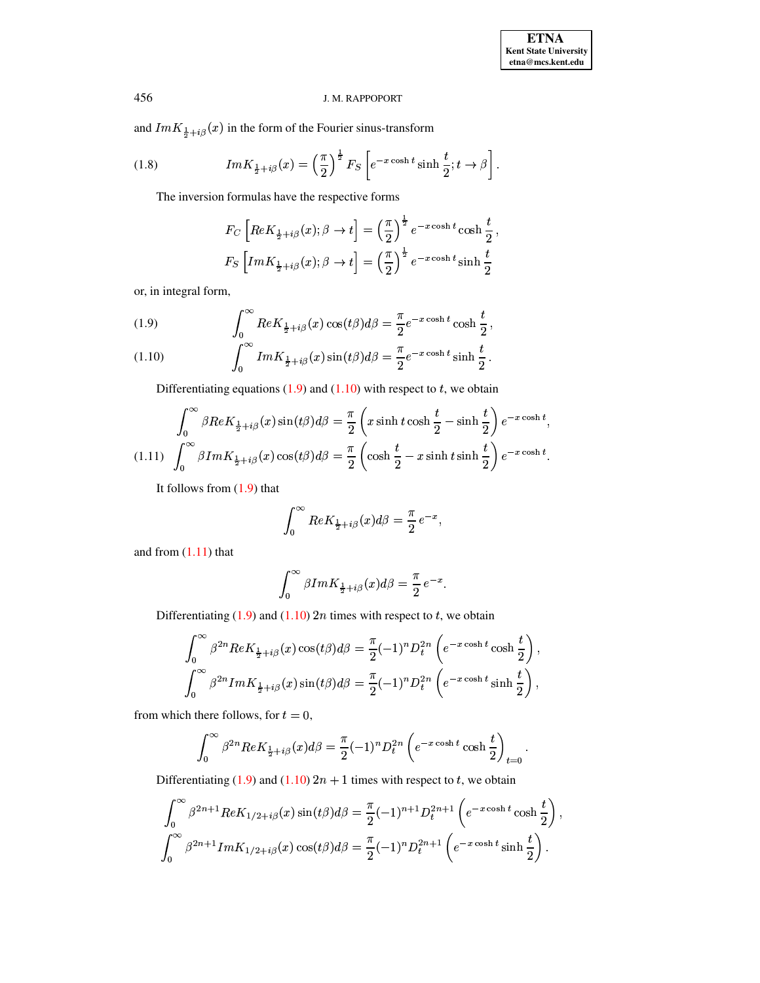and  $Im K_{\frac{1}{2}+i\beta}(x)$  in the form of the Fourier sinus-transform

(1.8) 
$$
Im K_{\frac{1}{2}+i\beta}(x) = \left(\frac{\pi}{2}\right)^{\frac{1}{2}} F_S \left[e^{-x \cosh t} \sinh \frac{t}{2}; t \to \beta\right]
$$

The inversion formulas have the respective forms

<span id="page-2-2"></span>
$$
F_C\left[ReK_{\frac{1}{2}+i\beta}(x); \beta \to t\right] = \left(\frac{\pi}{2}\right)^{\frac{1}{2}} e^{-x \cosh t} \cosh \frac{t}{2},
$$
  

$$
F_S\left[ImK_{\frac{1}{2}+i\beta}(x); \beta \to t\right] = \left(\frac{\pi}{2}\right)^{\frac{1}{2}} e^{-x \cosh t} \sinh \frac{t}{2}
$$

or, in integral form,

<span id="page-2-0"></span>(1.9) 
$$
\int_0^\infty Re K_{\frac{1}{2} + i\beta}(x) \cos(t\beta) d\beta = \frac{\pi}{2} e^{-x \cosh t} \cosh \frac{t}{2},
$$

(1.10) 
$$
\int_0^\infty Im K_{\frac{1}{2}+i\beta}(x) \sin(t\beta) d\beta = \frac{\pi}{2} e^{-x \cosh t} \sinh \frac{t}{2}
$$

Differentiating equations  $(1.9)$  and  $(1.10)$  with respect to t, we obtain

<span id="page-2-1"></span>
$$
\int_0^\infty \beta Re K_{\frac{1}{2} + i\beta}(x) \sin(t\beta) d\beta = \frac{\pi}{2} \left( x \sinh t \cosh \frac{t}{2} - \sinh \frac{t}{2} \right) e^{-x \cosh t},
$$
\n(1.11) 
$$
\int_0^\infty \beta Im K_{\frac{1}{2} + i\beta}(x) \cos(t\beta) d\beta = \frac{\pi}{2} \left( \cosh \frac{t}{2} - x \sinh t \sinh \frac{t}{2} \right) e^{-x \cosh t}.
$$

It follows from  $(1.9)$  that

$$
\int_0^\infty Re K_{\frac{1}{2}+i\beta}(x)d\beta = \frac{\pi}{2}e^{-x},
$$

and from  $(1.11)$  that

$$
\int_0^\infty \beta Im K_{\frac{1}{2}+i\beta}(x)d\beta = \frac{\pi}{2}e^{-x}.
$$

Differentiating  $(1.9)$  and  $(1.10)$  2*n* times with respect to *t*, we obtain

$$
\int_0^\infty \beta^{2n} Re K_{\frac{1}{2} + i\beta}(x) \cos(t\beta) d\beta = \frac{\pi}{2} (-1)^n D_t^{2n} \left( e^{-x \cosh t} \cosh \frac{t}{2} \right),
$$
  

$$
\int_0^\infty \beta^{2n} Im K_{\frac{1}{2} + i\beta}(x) \sin(t\beta) d\beta = \frac{\pi}{2} (-1)^n D_t^{2n} \left( e^{-x \cosh t} \sinh \frac{t}{2} \right),
$$

from which there follows, for  $t = 0$ ,

$$
\int_0^\infty \beta^{2n} Re K_{\frac{1}{2}+i\beta}(x) d\beta = \frac{\pi}{2} (-1)^n D_t^{2n} \left( e^{-x \cosh t} \cosh \frac{t}{2} \right)_{t=0}.
$$

Differentiating (1.9) and (1.10)  $2n + 1$  times with respect to t, we obtain

$$
\int_0^{\infty} \beta^{2n+1} Re K_{1/2+i\beta}(x) \sin(t\beta) d\beta = \frac{\pi}{2} (-1)^{n+1} D_t^{2n+1} \left( e^{-x \cosh t} \cosh \frac{t}{2} \right),
$$
  

$$
\int_0^{\infty} \beta^{2n+1} Im K_{1/2+i\beta}(x) \cos(t\beta) d\beta = \frac{\pi}{2} (-1)^n D_t^{2n+1} \left( e^{-x \cosh t} \sinh \frac{t}{2} \right).
$$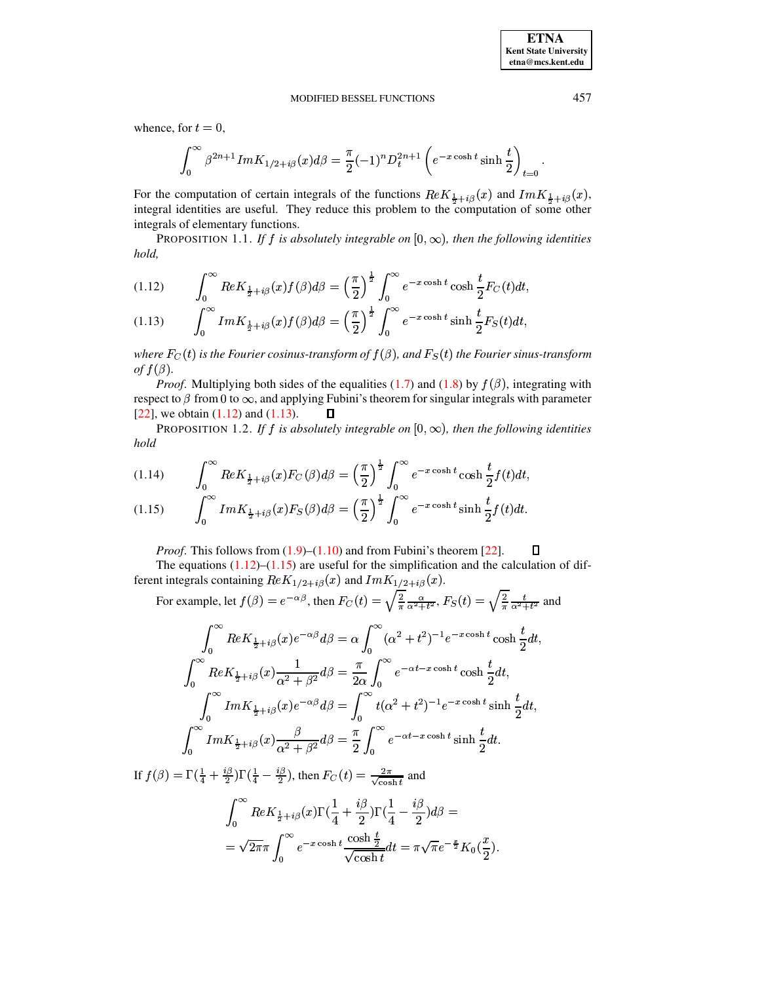whence, for  $t = 0$ ,

$$
\int_0^\infty \beta^{2n+1} Im K_{1/2+i\beta}(x) d\beta = \frac{\pi}{2} (-1)^n D_t^{2n+1} \left( e^{-x \cosh t} \sinh \frac{t}{2} \right)_{t=0}
$$

For the computation of certain integrals of the functions  $Re K_{\frac{1}{2}+i\beta}(x)$  and  $Im K_{\frac{1}{2}+i\beta}(x)$ , integral identities are useful. They reduce this problem to the computation of some other integrals of elementary functions.

**PROPOSITION 1.1.** If f is absolutely integrable on  $[0, \infty)$ , then the following identities hold,

<span id="page-3-0"></span>
$$
(1.12)\qquad \int_0^\infty Re K_{\frac{1}{2}+i\beta}(x)f(\beta)d\beta = \left(\frac{\pi}{2}\right)^{\frac{1}{2}} \int_0^\infty e^{-x\cosh t} \cosh \frac{t}{2} F_C(t)dt,
$$

$$
(1.13)\qquad \int_0^\infty Im K_{\frac{1}{2}+i\beta}(x)f(\beta)d\beta = \left(\frac{\pi}{2}\right)^{\frac{1}{2}} \int_0^\infty e^{-x\cosh t} \sinh\frac{t}{2}F_S(t)dt,
$$

where  $F_C(t)$  is the Fourier cosinus-transform of  $f(\beta)$ , and  $F_S(t)$  the Fourier sinus-transform of  $f(\beta)$ .

*Proof.* Multiplying both sides of the equalities (1.7) and (1.8) by  $f(\beta)$ , integrating with respect to  $\beta$  from 0 to  $\infty$ , and applying Fubini's theorem for singular integrals with parameter [22], we obtain  $(1.12)$  and  $(1.13)$ .  $\mathsf{\Pi}$ 

**PROPOSITION 1.2.** If f is absolutely integrable on  $[0, \infty)$ , then the following identities hold

<span id="page-3-1"></span>
$$
(1.14) \qquad \int_0^\infty Re K_{\frac{1}{2}+i\beta}(x) F_C(\beta) d\beta = \left(\frac{\pi}{2}\right)^{\frac{1}{2}} \int_0^\infty e^{-x \cosh t} \cosh \frac{t}{2} f(t) dt,
$$

$$
(1.15) \qquad \int_0^\infty Im K_{\frac{1}{2}+i\beta}(x) F_S(\beta) d\beta = \left(\frac{\pi}{2}\right)^{\frac{1}{2}} \int_0^\infty e^{-x \cosh t} \sinh \frac{t}{2} f(t) dt.
$$

*Proof.* This follows from  $(1.9)$ – $(1.10)$  and from Fubini's theorem [22]. 0

The equations  $(1.12)$ – $(1.15)$  are useful for the simplification and the calculation of dif-

ferent integrals containing  $Re K_{1/2+i\beta}(x)$  and  $Im K_{1/2+i\beta}(x)$ .<br>For example, let  $f(\beta) = e^{-\alpha\beta}$ , then  $F_C(t) = \sqrt{\frac{2}{\pi}} \frac{\alpha}{\alpha^2 + t^2}$ ,  $F_S(t) = \sqrt{\frac{2}{\pi}} \frac{t}{\alpha^2 + t^2}$  and

$$
\int_0^\infty Re K_{\frac{1}{2}+i\beta}(x)e^{-\alpha\beta}d\beta = \alpha \int_0^\infty (\alpha^2 + t^2)^{-1}e^{-x\cosh t} \cosh \frac{t}{2}dt,
$$
  

$$
\int_0^\infty Re K_{\frac{1}{2}+i\beta}(x)\frac{1}{\alpha^2 + \beta^2}d\beta = \frac{\pi}{2\alpha}\int_0^\infty e^{-\alpha t - x\cosh t} \cosh \frac{t}{2}dt,
$$
  

$$
\int_0^\infty Im K_{\frac{1}{2}+i\beta}(x)e^{-\alpha\beta}d\beta = \int_0^\infty t(\alpha^2 + t^2)^{-1}e^{-x\cosh t} \sinh \frac{t}{2}dt,
$$
  

$$
\int_0^\infty Im K_{\frac{1}{2}+i\beta}(x)\frac{\beta}{\alpha^2 + \beta^2}d\beta = \frac{\pi}{2}\int_0^\infty e^{-\alpha t - x\cosh t} \sinh \frac{t}{2}dt.
$$

If  $f(\beta) = \Gamma(\frac{1}{4} + \frac{i\beta}{2})\Gamma(\frac{1}{4} - \frac{i\beta}{2})$ , then  $F_C(t) = \frac{2\pi}{\sqrt{\cosh t}}$  and

$$
\int_0^\infty Re K_{\frac{1}{2}+i\beta}(x)\Gamma(\frac{1}{4}+\frac{i\beta}{2})\Gamma(\frac{1}{4}-\frac{i\beta}{2})d\beta =
$$
  
=  $\sqrt{2\pi}\pi \int_0^\infty e^{-x\cosh t} \frac{\cosh \frac{t}{2}}{\sqrt{\cosh t}}dt = \pi \sqrt{\pi}e^{-\frac{x}{2}}K_0(\frac{x}{2}).$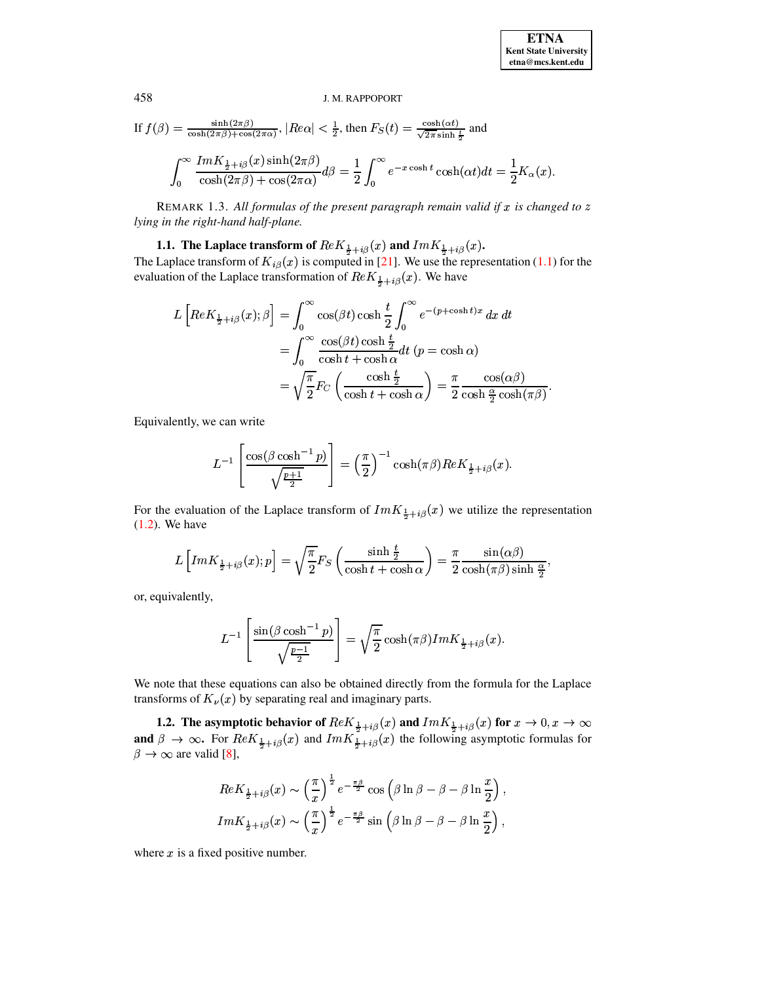If 
$$
f(\beta) = \frac{\sinh(2\pi\beta)}{\cosh(2\pi\beta) + \cos(2\pi\alpha)}
$$
,  $|Re\alpha| < \frac{1}{2}$ , then  $F_S(t) = \frac{\cosh(\alpha t)}{\sqrt{2\pi} \sinh\frac{t}{2}}$  and  

$$
\int_0^\infty \frac{Im K_{\frac{1}{2} + i\beta}(x) \sinh(2\pi\beta)}{\cosh(2\pi\beta) + \cos(2\pi\alpha)} d\beta = \frac{1}{2} \int_0^\infty e^{-x \cosh t} \cosh(\alpha t) dt = \frac{1}{2} K_\alpha(x).
$$

REMARK 1.3. All formulas of the present paragraph remain valid if  $x$  is changed to  $z$ lying in the right-hand half-plane.

**1.1.** The Laplace transform of  $ReK_{\frac{1}{2}+i\beta}(x)$  and  $ImK_{\frac{1}{2}+i\beta}(x)$ . The Laplace transform of  $K_{i\beta}(x)$  is computed in [21]. We use the representation (1.1) for the evaluation of the Laplace transformation of  $Re K_{\frac{1}{2}+i\beta}(x)$ . We have

$$
L\left[ReK_{\frac{1}{2}+i\beta}(x);\beta\right] = \int_0^\infty \cos(\beta t) \cosh\frac{t}{2} \int_0^\infty e^{-(p+\cosh t)x} dx dt
$$
  

$$
= \int_0^\infty \frac{\cos(\beta t) \cosh\frac{t}{2}}{\cosh t + \cosh \alpha} dt \quad (p = \cosh \alpha)
$$
  

$$
= \sqrt{\frac{\pi}{2}} F_C \left(\frac{\cosh \frac{t}{2}}{\cosh t + \cosh \alpha}\right) = \frac{\pi}{2} \frac{\cos(\alpha\beta)}{\cosh \frac{\alpha}{2} \cosh(\pi\beta)}
$$

Equivalently, we can write

$$
L^{-1}\left[\frac{\cos(\beta\cosh^{-1}p)}{\sqrt{\frac{p+1}{2}}}\right] = \left(\frac{\pi}{2}\right)^{-1}\cosh(\pi\beta)ReK_{\frac{1}{2}+i\beta}(x).
$$

For the evaluation of the Laplace transform of  $Im K_{\frac{1}{2}+i\beta}(x)$  we utilize the representation  $(1.2)$ . We have

$$
L\left[Im K_{\frac{1}{2}+i\beta}(x);p\right] = \sqrt{\frac{\pi}{2}} F_S \left( \frac{\sinh \frac{t}{2}}{\cosh t + \cosh \alpha} \right) = \frac{\pi}{2} \frac{\sin(\alpha\beta)}{\cosh(\pi\beta)\sinh \frac{\alpha}{2}},
$$

or, equivalently,

$$
L^{-1}\left[\frac{\sin(\beta \cosh^{-1} p)}{\sqrt{\frac{p-1}{2}}}\right] = \sqrt{\frac{\pi}{2}} \cosh(\pi \beta) Im K_{\frac{1}{2}+i\beta}(x).
$$

We note that these equations can also be obtained directly from the formula for the Laplace transforms of  $K_{\nu}(x)$  by separating real and imaginary parts.

**1.2.** The asymptotic behavior of  $ReK_{\frac{1}{2}+i\beta}(x)$  and  $ImK_{\frac{1}{2}+i\beta}(x)$  for  $x \to 0, x \to \infty$  and  $\beta \to \infty$ . For  $ReK_{\frac{1}{2}+i\beta}(x)$  and  $ImK_{\frac{1}{2}+i\beta}(x)$  the following asymptotic formulas for  $\beta \rightarrow \infty$  are valid [8],

$$
ReK_{\frac{1}{2}+i\beta}(x) \sim \left(\frac{\pi}{x}\right)^{\frac{1}{2}} e^{-\frac{\pi\beta}{2}} \cos\left(\beta \ln \beta - \beta - \beta \ln \frac{x}{2}\right),
$$
  

$$
ImK_{\frac{1}{2}+i\beta}(x) \sim \left(\frac{\pi}{x}\right)^{\frac{1}{2}} e^{-\frac{\pi\beta}{2}} \sin\left(\beta \ln \beta - \beta - \beta \ln \frac{x}{2}\right),
$$

where  $x$  is a fixed positive number.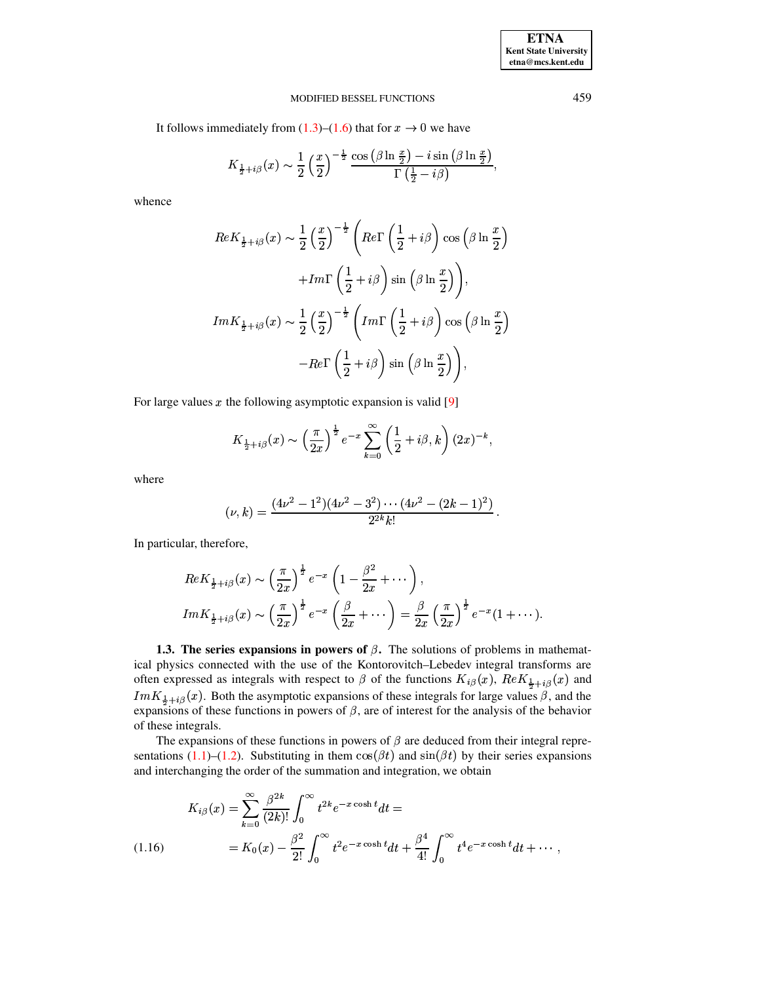It follows immediately from  $(1.3)$ – $(1.6)$  that for  $x \to 0$  we have

$$
K_{\frac{1}{2}+i\beta}(x) \sim \frac{1}{2} \left(\frac{x}{2}\right)^{-\frac{1}{2}} \frac{\cos \left(\beta \ln \frac{x}{2}\right) - i \sin \left(\beta \ln \frac{x}{2}\right)}{\Gamma\left(\frac{1}{2}-i\beta\right)},
$$

whence

$$
ReK_{\frac{1}{2}+i\beta}(x) \sim \frac{1}{2} \left(\frac{x}{2}\right)^{-\frac{1}{2}} \left( Re\Gamma\left(\frac{1}{2}+i\beta\right) \cos\left(\beta \ln \frac{x}{2}\right) \right)
$$

$$
+ Im\Gamma\left(\frac{1}{2}+i\beta\right) \sin\left(\beta \ln \frac{x}{2}\right) \Big),
$$

$$
ImK_{\frac{1}{2}+i\beta}(x) \sim \frac{1}{2} \left(\frac{x}{2}\right)^{-\frac{1}{2}} \left( Im\Gamma\left(\frac{1}{2}+i\beta\right) \cos\left(\beta \ln \frac{x}{2}\right) \right)
$$

$$
- Re\Gamma\left(\frac{1}{2}+i\beta\right) \sin\left(\beta \ln \frac{x}{2}\right) \Big),
$$

For large values x the following asymptotic expansion is valid [9]

$$
K_{\frac{1}{2}+i\beta}(x) \sim \left(\frac{\pi}{2x}\right)^{\frac{1}{2}} e^{-x} \sum_{k=0}^{\infty} \left(\frac{1}{2}+i\beta, k\right) (2x)^{-k},
$$

where

$$
(\nu,k) = \frac{(4\nu^2 - 1^2)(4\nu^2 - 3^2) \cdots (4\nu^2 - (2k - 1)^2)}{2^{2k}k!}
$$

In particular, therefore,

$$
ReK_{\frac{1}{2}+i\beta}(x) \sim \left(\frac{\pi}{2x}\right)^{\frac{1}{2}} e^{-x} \left(1 - \frac{\beta^2}{2x} + \cdots \right),
$$
  

$$
ImK_{\frac{1}{2}+i\beta}(x) \sim \left(\frac{\pi}{2x}\right)^{\frac{1}{2}} e^{-x} \left(\frac{\beta}{2x} + \cdots \right) = \frac{\beta}{2x} \left(\frac{\pi}{2x}\right)^{\frac{1}{2}} e^{-x} (1 + \cdots).
$$

1.3. The series expansions in powers of  $\beta$ . The solutions of problems in mathematical physics connected with the use of the Kontorovitch-Lebedev integral transforms are often expressed as integrals with respect to  $\beta$  of the functions  $K_{i\beta}(x)$ ,  $Re K_{\frac{1}{2}+i\beta}(x)$  and  $Im K_{\frac{1}{2}+i\beta}(x)$ . Both the asymptotic expansions of these integrals for large values  $\beta$ , and the expansions of these functions in powers of  $\beta$ , are of interest for the analysis of the behavior of these integrals.

The expansions of these functions in powers of  $\beta$  are deduced from their integral representations (1.1)–(1.2). Substituting in them  $cos(\beta t)$  and  $sin(\beta t)$  by their series expansions and interchanging the order of the summation and integration, we obtain

<span id="page-5-0"></span>
$$
K_{i\beta}(x) = \sum_{k=0}^{\infty} \frac{\beta^{2k}}{(2k)!} \int_0^{\infty} t^{2k} e^{-x \cosh t} dt =
$$
  
(1.16) 
$$
= K_0(x) - \frac{\beta^2}{2!} \int_0^{\infty} t^2 e^{-x \cosh t} dt + \frac{\beta^4}{4!} \int_0^{\infty} t^4 e^{-x \cosh t} dt + \cdots,
$$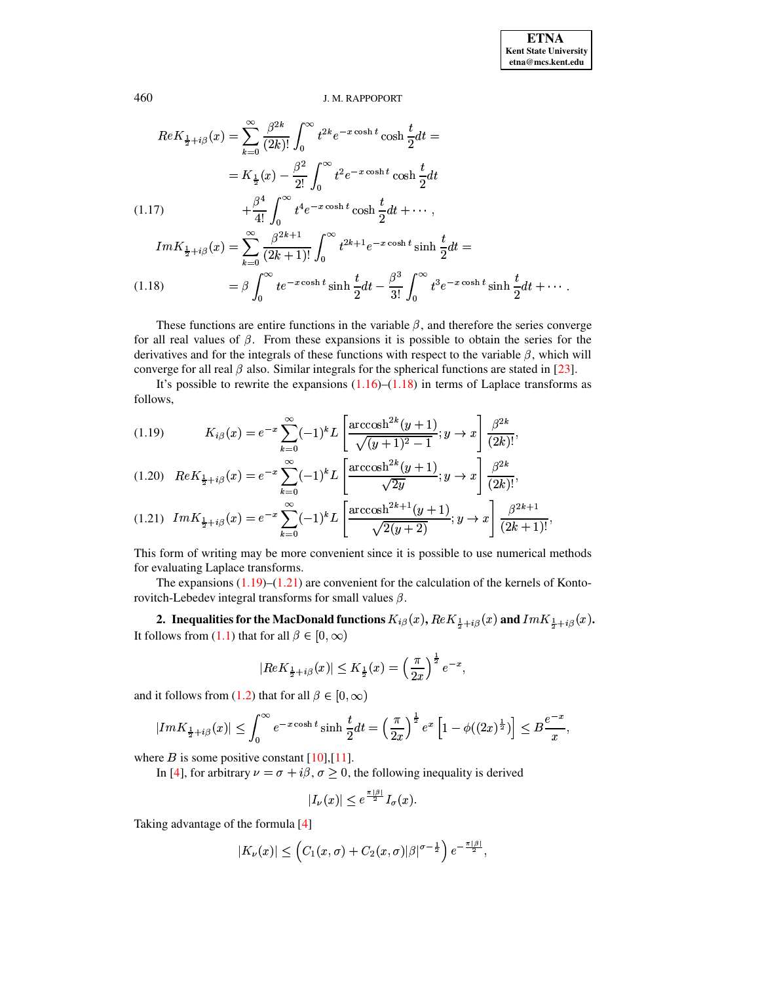$$
Re K_{\frac{1}{2}+i\beta}(x) = \sum_{k=0}^{\infty} \frac{\beta^{2k}}{(2k)!} \int_{0}^{\infty} t^{2k} e^{-x \cosh t} \cosh \frac{t}{2} dt =
$$
  
\n
$$
= K_{\frac{1}{2}}(x) - \frac{\beta^{2}}{2!} \int_{0}^{\infty} t^{2} e^{-x \cosh t} \cosh \frac{t}{2} dt
$$
  
\n(1.17)  
\n
$$
+ \frac{\beta^{4}}{4!} \int_{0}^{\infty} t^{4} e^{-x \cosh t} \cosh \frac{t}{2} dt + \cdots,
$$
  
\n
$$
Im K_{\frac{1}{2}+i\beta}(x) = \sum_{k=0}^{\infty} \frac{\beta^{2k+1}}{(2k+1)!} \int_{0}^{\infty} t^{2k+1} e^{-x \cosh t} \sinh \frac{t}{2} dt =
$$
  
\n(1.18)  
\n
$$
= \beta \int_{0}^{\infty} t e^{-x \cosh t} \sinh \frac{t}{2} dt - \frac{\beta^{3}}{3!} \int_{0}^{\infty} t^{3} e^{-x \cosh t} \sinh \frac{t}{2} dt + \cdots
$$

These functions are entire functions in the variable  $\beta$ , and therefore the series converge for all real values of  $\beta$ . From these expansions it is possible to obtain the series for the derivatives and for the integrals of these functions with respect to the variable  $\beta$ , which will converge for all real  $\beta$  also. Similar integrals for the spherical functions are stated in [23].

It's possible to rewrite the expansions  $(1.16)$ – $(1.18)$  in terms of Laplace transforms as follows.

<span id="page-6-0"></span>
$$
(1.19) \t K_{i\beta}(x) = e^{-x} \sum_{k=0}^{\infty} (-1)^k L\left[\frac{\arccosh^{2k}(y+1)}{\sqrt{(y+1)^2 - 1}}; y \to x\right] \frac{\beta^{2k}}{(2k)!},
$$

$$
(1.20) \quad ReK_{\frac{1}{2}+i\beta}(x) = e^{-x} \sum_{k=0}^{\infty} (-1)^k L \left[ \frac{\arccosh^{2k}(y+1)}{\sqrt{2y}}; y \to x \right] \frac{\beta^{2k}}{(2k)!},
$$

$$
(1.21)\quad Im K_{\frac{1}{2}+i\beta}(x) = e^{-x} \sum_{k=0}^{\infty} (-1)^k L\left[\frac{\arccosh^{2k+1}(y+1)}{\sqrt{2(y+2)}}; y \to x\right] \frac{\beta^{2k+1}}{(2k+1)!},
$$

This form of writing may be more convenient since it is possible to use numerical methods for evaluating Laplace transforms.

The expansions  $(1.19)$ – $(1.21)$  are convenient for the calculation of the kernels of Kontorovitch-Lebedev integral transforms for small values  $\beta$ .

2. Inequalities for the MacDonald functions  $K_{i\beta}(x)$ ,  $ReK_{\frac{1}{2}+i\beta}(x)$  and  $ImK_{\frac{1}{2}+i\beta}(x)$ . It follows from (1.1) that for all  $\beta \in [0, \infty)$ 

$$
|Re K_{\frac{1}{2}+i\beta}(x)| \leq K_{\frac{1}{2}}(x) = \left(\frac{\pi}{2x}\right)^{\frac{1}{2}} e^{-x}
$$

and it follows from (1.2) that for all  $\beta \in [0, \infty)$ 

$$
Im K_{\frac{1}{2}+i\beta}(x)| \le \int_0^\infty e^{-x\cosh t} \sinh \frac{t}{2} dt = \left(\frac{\pi}{2x}\right)^{\frac{1}{2}} e^x \left[1 - \phi((2x)^{\frac{1}{2}})\right] \le B\frac{e^{-x}}{x},
$$

where *B* is some positive constant [10], [11].

In [4], for arbitrary  $\nu = \sigma + i\beta$ ,  $\sigma > 0$ , the following inequality is derived

$$
|I_{\nu}(x)| \leq e^{\frac{\pi |\beta|}{2}} I_{\sigma}(x).
$$

Taking advantage of the formula [4]

$$
|K_{\nu}(x)| \leq \left(C_1(x,\sigma)+C_2(x,\sigma)|\beta|^{\sigma-\frac{1}{2}}\right)e^{-\frac{\pi|\beta|}{2}},
$$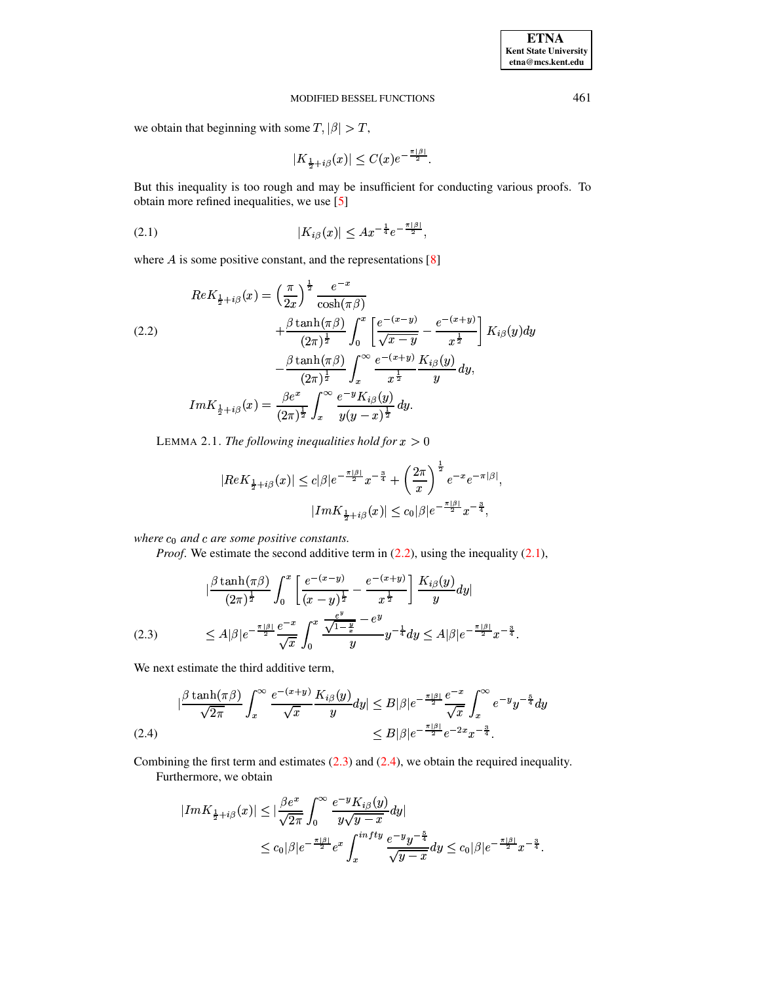we obtain that beginning with some  $T$ ,  $|\beta| > T$ ,

<span id="page-7-1"></span>
$$
|K_{\frac{1}{2}+i\beta}(x)| \leq C(x)e^{-\frac{\pi|\beta|}{2}}.
$$

But this inequality is too rough and may be insufficient for conducting various proofs. To obtain more refined inequalities, we use [5]

$$
|K_{i\beta}(x)| \leq Ax^{-\frac{1}{4}}e^{-\frac{\pi|\beta|}{2}},
$$

where  $A$  is some positive constant, and the representations  $[8]$ 

<span id="page-7-0"></span>(2.2)  
\n
$$
ReK_{\frac{1}{2}+i\beta}(x) = \left(\frac{\pi}{2x}\right)^{\frac{1}{2}} \frac{e^{-x}}{\cosh(\pi\beta)}
$$
\n
$$
+ \frac{\beta \tanh(\pi\beta)}{(2\pi)^{\frac{1}{2}}} \int_0^x \left[\frac{e^{-(x-y)}}{\sqrt{x-y}} - \frac{e^{-(x+y)}}{x^{\frac{1}{2}}}\right] K_{i\beta}(y) dy
$$
\n
$$
- \frac{\beta \tanh(\pi\beta)}{(2\pi)^{\frac{1}{2}}} \int_x^\infty \frac{e^{-(x+y)}}{x^{\frac{1}{2}}} \frac{K_{i\beta}(y)}{y} dy,
$$
\n
$$
ImK_{\frac{1}{2}+i\beta}(x) = \frac{\beta e^x}{(2\pi)^{\frac{1}{2}}} \int_x^\infty \frac{e^{-y} K_{i\beta}(y)}{y(y-x)^{\frac{1}{2}}} dy.
$$

LEMMA 2.1. The following inequalities hold for  $x > 0$ 

$$
|Re K_{\frac{1}{2}+i\beta}(x)| \leq c|\beta|e^{-\frac{\pi|\beta|}{2}}x^{-\frac{3}{4}} + \left(\frac{2\pi}{x}\right)^{\frac{1}{2}}e^{-x}e^{-\pi|\beta|},
$$
  

$$
|Im K_{\frac{1}{2}+i\beta}(x)| \leq c_0|\beta|e^{-\frac{\pi|\beta|}{2}}x^{-\frac{3}{4}},
$$

where  $c_0$  and  $c$  are some positive constants.

*Proof.* We estimate the second additive term in  $(2.2)$ , using the inequality  $(2.1)$ ,

<span id="page-7-2"></span>
$$
\left| \frac{\beta \tanh(\pi \beta)}{(2\pi)^{\frac{1}{2}}} \int_0^x \left[ \frac{e^{-(x-y)}}{(x-y)^{\frac{1}{2}}} - \frac{e^{-(x+y)}}{x^{\frac{1}{2}}} \right] \frac{K_{i\beta}(y)}{y} dy \right|
$$
\n
$$
\leq A|\beta|e^{-\frac{\pi|\beta|}{2}} \frac{e^{-x}}{\sqrt{x}} \int_0^x \frac{\frac{e^y}{\sqrt{1-\frac{y}{x}}}-e^y}{y} y^{-\frac{1}{4}} dy \leq A|\beta|e^{-\frac{\pi|\beta|}{2}} x^{-\frac{3}{4}}.
$$

We next estimate the third additive term,

<span id="page-7-3"></span>
$$
\left| \frac{\beta \tanh(\pi \beta)}{\sqrt{2\pi}} \int_x^{\infty} \frac{e^{-(x+y)}}{\sqrt{x}} \frac{K_{i\beta}(y)}{y} dy \right| \leq B|\beta| e^{-\frac{\pi |\beta|}{2}} \frac{e^{-x}}{\sqrt{x}} \int_x^{\infty} e^{-y} y^{-\frac{5}{4}} dy
$$
\n
$$
\leq B|\beta| e^{-\frac{\pi |\beta|}{2}} e^{-2x} x^{-\frac{3}{4}}.
$$
\n(2.4)

Combining the first term and estimates  $(2.3)$  and  $(2.4)$ , we obtain the required inequality. Furthermore, we obtain

$$
|Im K_{\frac{1}{2}+i\beta}(x)| \leq |\frac{\beta e^x}{\sqrt{2\pi}} \int_0^{\infty} \frac{e^{-y} K_{i\beta}(y)}{y\sqrt{y-x}} dy|
$$
  

$$
\leq c_0 |\beta| e^{-\frac{\pi |\beta|}{2}} e^x \int_x^{infy} \frac{e^{-y} y^{-\frac{5}{4}}}{\sqrt{y-x}} dy \leq c_0 |\beta| e^{-\frac{\pi |\beta|}{2}} x^{-\frac{3}{4}}.
$$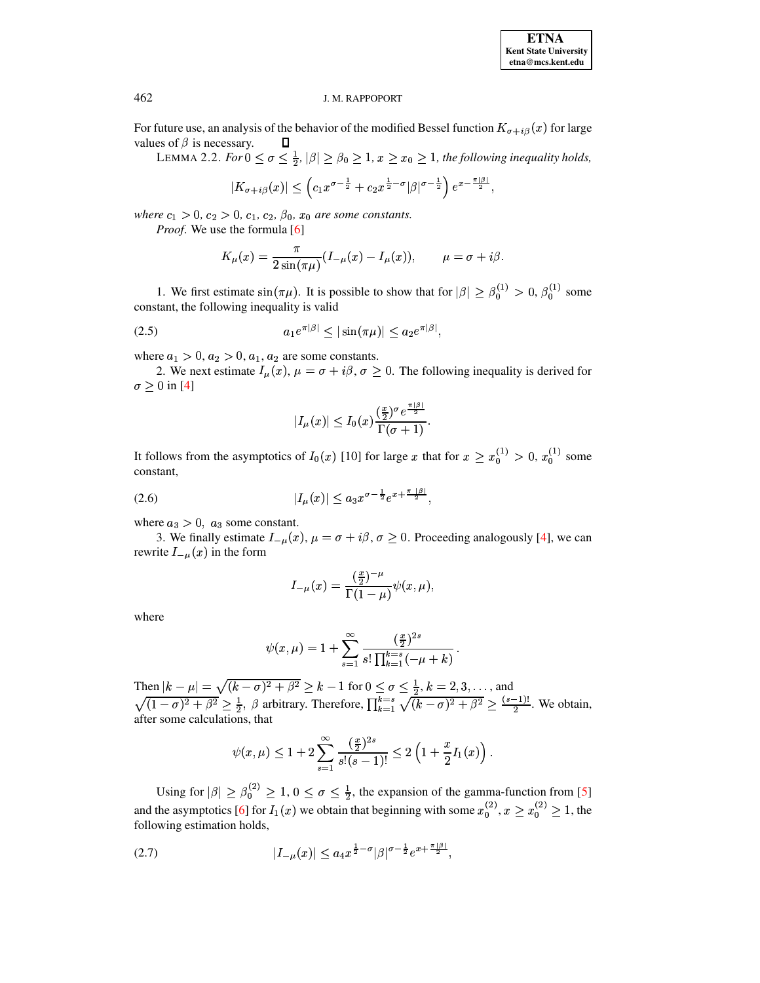For future use, an analysis of the behavior of the modified Bessel function  $K_{\sigma+i\beta}(x)$  for large values of  $\beta$  is necessary.

LEMMA 2.2. For  $0 \le \sigma \le \frac{1}{2}$ ,  $|\beta| \ge \beta_0 \ge 1$ ,  $x \ge x_0 \ge 1$ , the following inequality holds,

$$
|K_{\sigma+i\beta}(x)| \leq \left(c_1 x^{\sigma-\frac{1}{2}} + c_2 x^{\frac{1}{2}-\sigma} |\beta|^{\sigma-\frac{1}{2}}\right) e^{x-\frac{\pi|\beta|}{2}},
$$

where  $c_1 > 0$ ,  $c_2 > 0$ ,  $c_1$ ,  $c_2$ ,  $\beta_0$ ,  $x_0$  are some constants.

*Proof.* We use the formula [6]

<span id="page-8-0"></span>
$$
K_{\mu}(x) = \frac{\pi}{2\sin(\pi\mu)}(I_{-\mu}(x) - I_{\mu}(x)), \qquad \mu = \sigma + i\beta.
$$

1. We first estimate  $sin(\pi \mu)$ . It is possible to show that for  $|\beta| \ge \beta_0^{(1)} > 0$ ,  $\beta_0^{(1)}$  some constant, the following inequality is valid

$$
(2.5) \t\t a_1 e^{\pi|\beta|} \le |\sin(\pi \mu)| \le a_2 e^{\pi|\beta|},
$$

where  $a_1 > 0$ ,  $a_2 > 0$ ,  $a_1$ ,  $a_2$  are some constants.

2. We next estimate  $I_{\mu}(x)$ ,  $\mu = \sigma + i\beta$ ,  $\sigma \ge 0$ . The following inequality is derived for  $\sigma \geq 0$  in [4]

$$
|I_\mu(x)|\leq I_0(x)\frac{(\frac{x}{2})^\sigma e^{\frac{\pi|\beta|}{2}}}{\Gamma(\sigma+1)}.
$$

It follows from the asymptotics of  $I_0(x)$  [10] for large x that for  $x \ge x_0^{(1)} > 0$ ,  $x_0^{(1)}$  some constant,

(2.6) 
$$
|I_{\mu}(x)| \leq a_3 x^{\sigma - \frac{1}{2}} e^{x + \frac{\pi |\beta|}{2}},
$$

where  $a_3 > 0$ ,  $a_3$  some constant.

3. We finally estimate  $I_{-\mu}(x)$ ,  $\mu = \sigma + i\beta$ ,  $\sigma \ge 0$ . Proceeding analogously [4], we can rewrite  $I_{-\mu}(x)$  in the form

$$
I_{-\mu}(x) = \frac{(\frac{x}{2})^{-\mu}}{\Gamma(1-\mu)}\psi(x,\mu),
$$

where

$$
\psi(x,\mu) = 1 + \sum_{s=1}^{\infty} \frac{(\frac{x}{2})^{2s}}{s! \prod_{k=1}^{k=s} (-\mu + k)}.
$$

Then  $|k - \mu| = \sqrt{(k - \sigma)^2 + \beta^2} \ge k - 1$  for  $0 \le \sigma \le \frac{1}{2}$ ,  $k = 2, 3, ...$ , and<br>  $\sqrt{(1 - \sigma)^2 + \beta^2} \ge \frac{1}{2}$ ,  $\beta$  arbitrary. Therefore,  $\prod_{k=1}^{k=s} \sqrt{(k - \sigma)^2 + \beta^2} \ge \frac{(s-1)!}{2}$ . We obtain, after some calculations, that

$$
\psi(x,\mu) \leq 1 + 2 \sum_{s=1}^{\infty} \frac{\left(\frac{x}{2}\right)^{2s}}{s!(s-1)!} \leq 2 \left(1 + \frac{x}{2} I_1(x)\right).
$$

Using for  $|\beta| \ge \beta_0^{(2)} \ge 1$ ,  $0 \le \sigma \le \frac{1}{2}$ , the expansion of the gamma-function from [5] and the asymptotics [6] for  $I_1(x)$  we obtain that beginning with some  $x_0^{(2)}$ ,  $x \ge x_0^{(2)} \ge 1$ , the following estimation holds,

<span id="page-8-1"></span>
$$
(2.7) \t\t\t |I_{-\mu}(x)| \leq a_4 x^{\frac{1}{2}-\sigma} |\beta|^{\sigma-\frac{1}{2}} e^{x+\frac{\pi|\beta|}{2}},
$$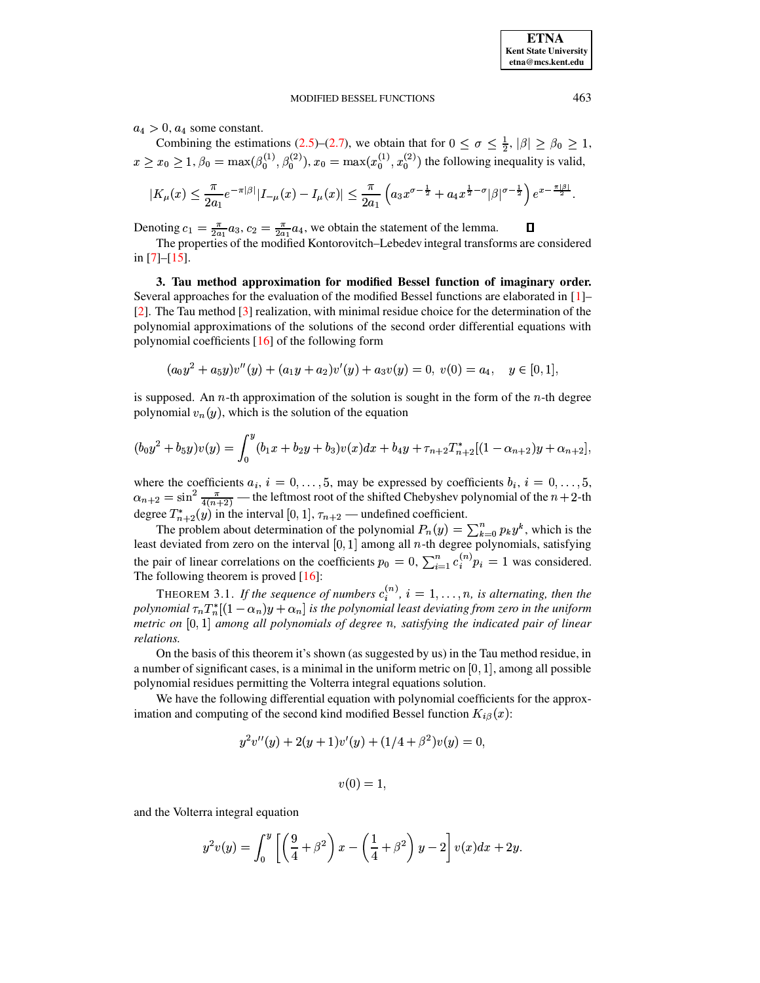$a_4 > 0$ ,  $a_4$  some constant.

Combining the estimations (2.5)–(2.7), we obtain that for  $0 \le \sigma \le \frac{1}{2}$ ,  $|\beta| \ge \beta_0 \ge 1$ ,  $x \ge x_0 \ge 1$ ,  $\beta_0 = \max(\beta_0^{(1)}, \beta_0^{(2)})$ ,  $x_0 = \max(x_0^{(1)}, x_0^{(2)})$  the following inequality is valid,

$$
|K_{\mu}(x)| \leq \frac{\pi}{2a_1} e^{-\pi|\beta|} |I_{-\mu}(x) - I_{\mu}(x)| \leq \frac{\pi}{2a_1} \left( a_3 x^{\sigma - \frac{1}{2}} + a_4 x^{\frac{1}{2} - \sigma} |\beta|^{\sigma - \frac{1}{2}} \right) e^{x - \frac{\pi|\beta|}{2}}
$$

Denoting  $c_1 = \frac{\pi}{2a_1} a_3$ ,  $c_2 = \frac{\pi}{2a_1} a_4$ , we obtain the statement of the lemma.  $\Box$ <br>The properties of the modified Kontorovitch–Lebedev integral transforms are considered in  $[7]-[15]$ .

3. Tau method approximation for modified Bessel function of imaginary order. Several approaches for the evaluation of the modified Bessel functions are elaborated in  $[1]$ [2]. The Tau method [3] realization, with minimal residue choice for the determination of the polynomial approximations of the solutions of the second order differential equations with polynomial coefficients  $[16]$  of the following form

$$
(a_0y^2 + a_5y)v''(y) + (a_1y + a_2)v'(y) + a_3v(y) = 0, v(0) = a_4, y \in [0,1],
$$

is supposed. An *n*-th approximation of the solution is sought in the form of the *n*-th degree polynomial  $v_n(y)$ , which is the solution of the equation

$$
(b_0y^2 + b_5y)v(y) = \int_0^y (b_1x + b_2y + b_3)v(x)dx + b_4y + \tau_{n+2}T_{n+2}^*[(1 - \alpha_{n+2})y + \alpha_{n+2}],
$$

where the coefficients  $a_i$ ,  $i = 0, \ldots, 5$ , may be expressed by coefficients  $b_i$ ,  $i = 0, \ldots, 5$ ,  $\alpha_{n+2} = \sin^2 \frac{\pi}{4(n+2)}$  — the leftmost root of the shifted Chebyshev polynomial of the  $n+2$ -th degree  $T_{n+2}^*(y)$  in the interval [0, 1],  $\tau_{n+2}$  — undefined coefficient.

The problem about determination of the polynomial  $P_n(y) = \sum_{k=0}^n p_k y^k$ , which is the least deviated from zero on the interval  $[0,1]$  among all *n*-th degree polynomials, satisfying the pair of linear correlations on the coefficients  $p_0 = 0$ ,  $\sum_{i=1}^{n} c_i^{(n)} p_i = 1$  was considered. The following theorem is proved  $[16]$ :

<span id="page-9-0"></span>THEOREM 3.1. If the sequence of numbers  $c_i^{(n)}$ ,  $i = 1, ..., n$ , is alternating, then the polynomial  $\tau_n T_n^*[(1 - \alpha_n)y + \alpha_n]$  is the polynomial least deviating from zero in the uniform metric on  $[0,1]$  among all polynomials of degree n, satisfying the indicated pair of linear relations.

On the basis of this theorem it's shown (as suggested by us) in the Tau method residue, in a number of significant cases, is a minimal in the uniform metric on  $[0, 1]$ , among all possible polynomial residues permitting the Volterra integral equations solution.

We have the following differential equation with polynomial coefficients for the approximation and computing of the second kind modified Bessel function  $K_{i\beta}(x)$ :

$$
y^{2}v''(y) + 2(y+1)v'(y) + (1/4 + \beta^{2})v(y) = 0
$$

$$
v(0)=1,
$$

and the Volterra integral equation

$$
y^{2}v(y) = \int_{0}^{y} \left[ \left( \frac{9}{4} + \beta^{2} \right) x - \left( \frac{1}{4} + \beta^{2} \right) y - 2 \right] v(x) dx + 2y.
$$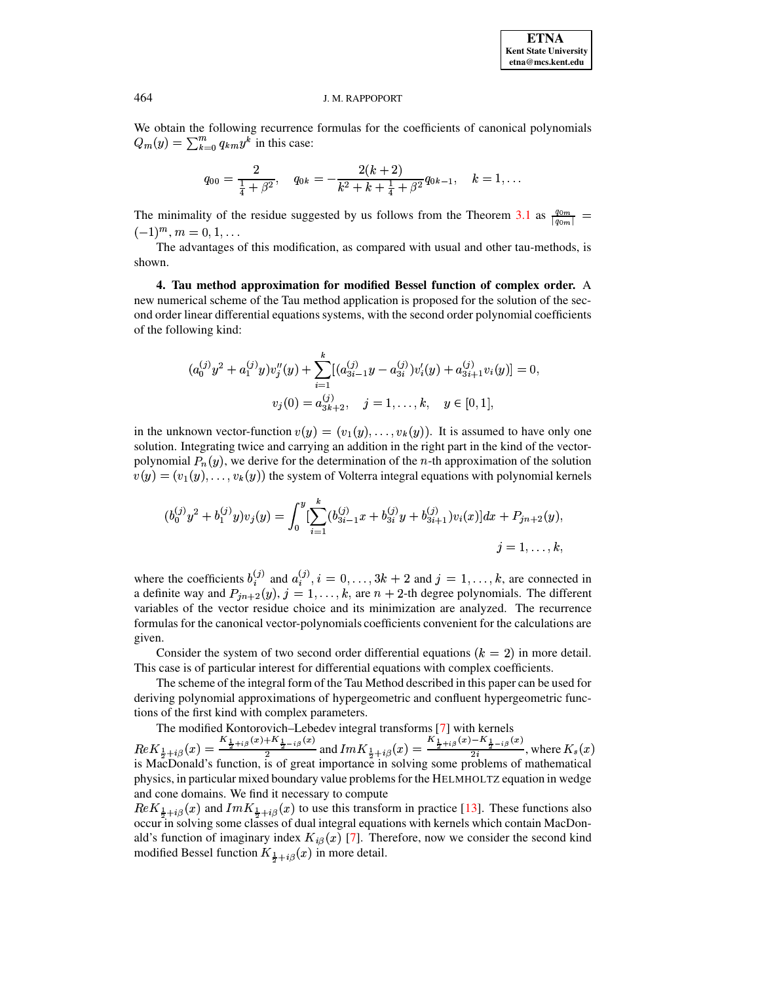We obtain the following recurrence formulas for the coefficients of canonical polynomials  $Q_m(y) = \sum_{k=0}^m q_{km} y^k$  in this case:

$$
q_{00} = \frac{2}{\frac{1}{4} + \beta^2}, \quad q_{0k} = -\frac{2(k+2)}{k^2 + k + \frac{1}{4} + \beta^2} q_{0k-1}, \quad k = 1, \ldots
$$

The minimality of the residue suggested by us follows from the Theorem 3.1 as  $\frac{q_{0m}}{|q_{0m}|}$  =  $(-1)^m$ ,  $m = 0, 1, \ldots$ 

The advantages of this modification, as compared with usual and other tau-methods, is shown.

4. Tau method approximation for modified Bessel function of complex order. A new numerical scheme of the Tau method application is proposed for the solution of the second order linear differential equations systems, with the second order polynomial coefficients of the following kind:

$$
(a_0^{(j)}y^2 + a_1^{(j)}y)v_j''(y) + \sum_{i=1}^k [(a_{3i-1}^{(j)}y - a_{3i}^{(j)})v_i'(y) + a_{3i+1}^{(j)}v_i(y)] = 0,
$$
  

$$
v_j(0) = a_{3k+2}^{(j)}, \quad j = 1, \dots, k, \quad y \in [0, 1],
$$

in the unknown vector-function  $v(y) = (v_1(y), \ldots, v_k(y))$ . It is assumed to have only one solution. Integrating twice and carrying an addition in the right part in the kind of the vectorpolynomial  $P_n(y)$ , we derive for the determination of the *n*-th approximation of the solution  $v(y) = (v_1(y), \dots, v_k(y))$  the system of Volterra integral equations with polynomial kernels

$$
(b_0^{(j)}y^2 + b_1^{(j)}y)v_j(y) = \int_0^y \left[\sum_{i=1}^k (b_{3i-1}^{(j)}x + b_{3i}^{(j)}y + b_{3i+1}^{(j)})v_i(x)\right]dx + P_{jn+2}(y),
$$
  
  $j = 1, ..., k,$ 

where the coefficients  $b_i^{(j)}$  and  $a_i^{(j)}$ ,  $i = 0, \ldots, 3k + 2$  and  $j = 1, \ldots, k$ , are connected in a definite way and  $P_{jn+2}(y)$ ,  $j = 1, ..., k$ , are  $n + 2$ -th degree polynomials. The different variables of the vector residue choice and its minimization are analyzed. The recurrence formulas for the canonical vector-polynomials coefficients convenient for the calculations are given.

Consider the system of two second order differential equations  $(k = 2)$  in more detail. This case is of particular interest for differential equations with complex coefficients.

The scheme of the integral form of the Tau Method described in this paper can be used for deriving polynomial approximations of hypergeometric and confluent hypergeometric functions of the first kind with complex parameters.

The modified Kontorovich-Lebedev integral transforms [7] with kernels

 $ReK_{\frac{1}{2}+i\beta}(x) = \frac{K_{\frac{1}{2}+i\beta}(x)+K_{\frac{1}{2}-i\beta}(x)}{2}$  and  $ImK_{\frac{1}{2}+i\beta}(x) = \frac{K_{\frac{1}{2}+i\beta}(x)-K_{\frac{1}{2}-i\beta}(x)}{2i}$ , where  $K_s(x)$  is MacDonald's function, is of great importance in solving some problems of mathematic physics, in particular mixed boundary value problems for the HELMHOLTZ equation in wedge and cone domains. We find it necessary to compute

 $Re K_{\frac{1}{2}+i\beta}(x)$  and  $Im K_{\frac{1}{2}+i\beta}(x)$  to use this transform in practice [13]. These functions also occur in solving some classes of dual integral equations with kernels which contain MacDonald's function of imaginary index  $K_{i\beta}(x)$  [7]. Therefore, now we consider the second kind modified Bessel function  $K_{\frac{1}{2}+i\beta}(x)$  in more detail.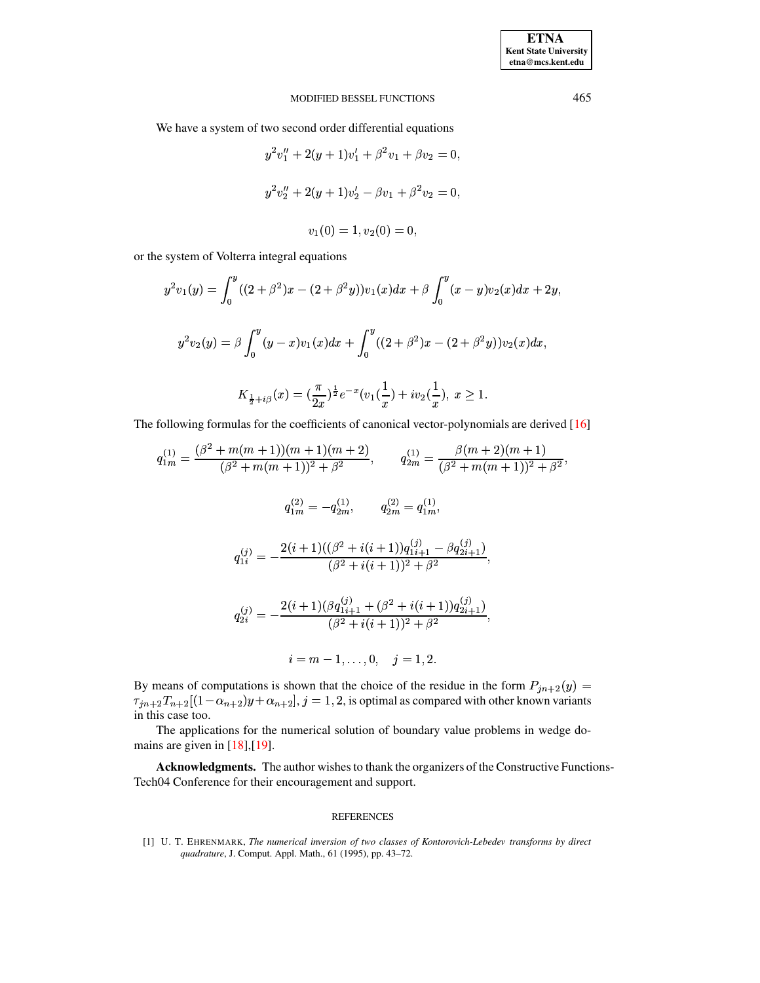We have a system of two second order differential equations

$$
y^{2}v_{1}'' + 2(y+1)v_{1}' + \beta^{2}v_{1} + \beta v_{2} = 0,
$$
  

$$
y^{2}v_{2}'' + 2(y+1)v_{2}' - \beta v_{1} + \beta^{2}v_{2} = 0,
$$
  

$$
v_{1}(0) = 1, v_{2}(0) = 0,
$$

or the system of Volterra integral equations

$$
y^{2}v_{1}(y) = \int_{0}^{y} ((2+\beta^{2})x - (2+\beta^{2}y))v_{1}(x)dx + \beta \int_{0}^{y} (x-y)v_{2}(x)dx + 2y
$$
  

$$
y^{2}v_{2}(y) = \beta \int_{0}^{y} (y-x)v_{1}(x)dx + \int_{0}^{y} ((2+\beta^{2})x - (2+\beta^{2}y))v_{2}(x)dx,
$$
  

$$
K_{\frac{1}{2}+i\beta}(x) = (\frac{\pi}{2x})^{\frac{1}{2}}e^{-x}(v_{1}(\frac{1}{x}) + iv_{2}(\frac{1}{x}), x \ge 1.
$$

The following formulas for the coefficients of canonical vector-polynomials are derived  $[16]$ 

$$
q_{1m}^{(1)} = \frac{(\beta^2 + m(m+1))(m+1)(m+2)}{(\beta^2 + m(m+1))^2 + \beta^2}, \qquad q_{2m}^{(1)} = \frac{\beta(m+2)(m+1)}{(\beta^2 + m(m+1))^2 + \beta^2},
$$
  

$$
q_{1m}^{(2)} = -q_{2m}^{(1)}, \qquad q_{2m}^{(2)} = q_{1m}^{(1)},
$$
  

$$
q_{1i}^{(j)} = -\frac{2(i+1)((\beta^2 + i(i+1))q_{1i+1}^{(j)} - \beta q_{2i+1}^{(j)})}{(\beta^2 + i(i+1))^2 + \beta^2},
$$
  

$$
q_{2i}^{(j)} = -\frac{2(i+1)(\beta q_{1i+1}^{(j)} + (\beta^2 + i(i+1))q_{2i+1}^{(j)})}{(\beta^2 + i(i+1))^2 + \beta^2},
$$
  

$$
i = m - 1, ..., 0, \quad j = 1, 2.
$$

By means of computations is shown that the choice of the residue in the form  $P_{jn+2}(y)$  =  $\tau_{j n+2} T_{n+2}$   $[(1-\alpha_{n+2})y + \alpha_{n+2}]$ ,  $j = 1, 2$ , is optimal as compared with other known variants in this case too.

The applications for the numerical solution of boundary value problems in wedge domains are given in  $[18]$ , [19].

**Acknowledgments.** The author wishes to thank the organizers of the Constructive Functions-Tech04 Conference for their encouragement and support.

# **REFERENCES**

<span id="page-11-0"></span>[1] U. T. EHRENMARK, The numerical inversion of two classes of Kontorovich-Lebedev transforms by direct quadrature, J. Comput. Appl. Math., 61 (1995), pp. 43-72.